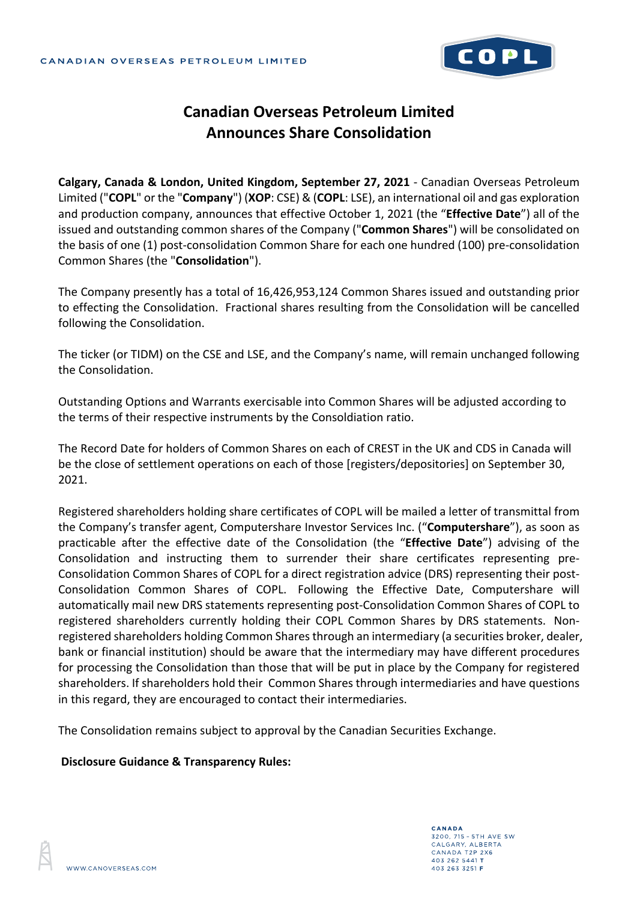

## **Canadian Overseas Petroleum Limited Announces Share Consolidation**

**Calgary, Canada & London, United Kingdom, September 27, 2021** - Canadian Overseas Petroleum Limited ("**COPL**" or the "**Company**") (**XOP**: CSE) & (**COPL**: LSE), an international oil and gas exploration and production company, announces that effective October 1, 2021 (the "**Effective Date**") all of the issued and outstanding common shares of the Company ("**Common Shares**") will be consolidated on the basis of one (1) post-consolidation Common Share for each one hundred (100) pre-consolidation Common Shares (the "**Consolidation**").

The Company presently has a total of 16,426,953,124 Common Shares issued and outstanding prior to effecting the Consolidation. Fractional shares resulting from the Consolidation will be cancelled following the Consolidation.

The ticker (or TIDM) on the CSE and LSE, and the Company's name, will remain unchanged following the Consolidation.

Outstanding Options and Warrants exercisable into Common Shares will be adjusted according to the terms of their respective instruments by the Consoldiation ratio.

The Record Date for holders of Common Shares on each of CREST in the UK and CDS in Canada will be the close of settlement operations on each of those [registers/depositories] on September 30, 2021.

Registered shareholders holding share certificates of COPL will be mailed a letter of transmittal from the Company's transfer agent, Computershare Investor Services Inc. ("**Computershare**"), as soon as practicable after the effective date of the Consolidation (the "**Effective Date**") advising of the Consolidation and instructing them to surrender their share certificates representing pre-Consolidation Common Shares of COPL for a direct registration advice (DRS) representing their post-Consolidation Common Shares of COPL. Following the Effective Date, Computershare will automatically mail new DRS statements representing post-Consolidation Common Shares of COPL to registered shareholders currently holding their COPL Common Shares by DRS statements. Nonregistered shareholders holding Common Shares through an intermediary (a securities broker, dealer, bank or financial institution) should be aware that the intermediary may have different procedures for processing the Consolidation than those that will be put in place by the Company for registered shareholders. If shareholders hold their Common Shares through intermediaries and have questions in this regard, they are encouraged to contact their intermediaries.

The Consolidation remains subject to approval by the Canadian Securities Exchange.

## **Disclosure Guidance & Transparency Rules:**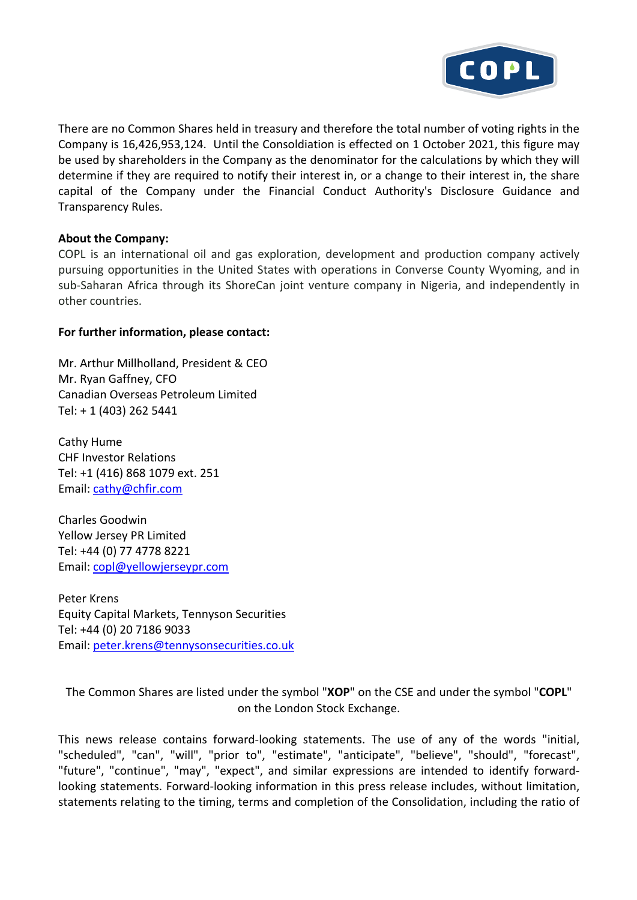

There are no Common Shares held in treasury and therefore the total number of voting rights in the Company is 16,426,953,124. Until the Consoldiation is effected on 1 October 2021, this figure may be used by shareholders in the Company as the denominator for the calculations by which they will determine if they are required to notify their interest in, or a change to their interest in, the share capital of the Company under the Financial Conduct Authority's Disclosure Guidance and Transparency Rules.

## **About the Company:**

COPL is an international oil and gas exploration, development and production company actively pursuing opportunities in the United States with operations in Converse County Wyoming, and in sub-Saharan Africa through its ShoreCan joint venture company in Nigeria, and independently in other countries.

## **For further information, please contact:**

Mr. Arthur Millholland, President & CEO Mr. Ryan Gaffney, CFO Canadian Overseas Petroleum Limited Tel: + 1 (403) 262 5441

Cathy Hume CHF Investor Relations Tel: +1 (416) 868 1079 ext. 251 Email: cathy@chfir.com

Charles Goodwin Yellow Jersey PR Limited Tel: +44 (0) 77 4778 8221 Email: copl@yellowjerseypr.com

Peter Krens Equity Capital Markets, Tennyson Securities Tel: +44 (0) 20 7186 9033 Email: peter.krens@tennysonsecurities.co.uk

The Common Shares are listed under the symbol "**XOP**" on the CSE and under the symbol "**COPL**" on the London Stock Exchange.

This news release contains forward-looking statements. The use of any of the words "initial, "scheduled", "can", "will", "prior to", "estimate", "anticipate", "believe", "should", "forecast", "future", "continue", "may", "expect", and similar expressions are intended to identify forwardlooking statements. Forward-looking information in this press release includes, without limitation, statements relating to the timing, terms and completion of the Consolidation, including the ratio of